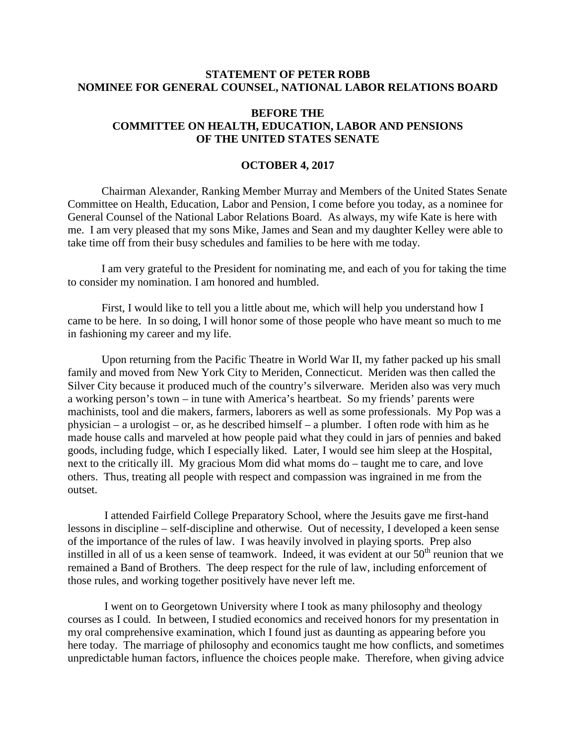## **STATEMENT OF PETER ROBB NOMINEE FOR GENERAL COUNSEL, NATIONAL LABOR RELATIONS BOARD**

## **BEFORE THE COMMITTEE ON HEALTH, EDUCATION, LABOR AND PENSIONS OF THE UNITED STATES SENATE**

## **OCTOBER 4, 2017**

Chairman Alexander, Ranking Member Murray and Members of the United States Senate Committee on Health, Education, Labor and Pension, I come before you today, as a nominee for General Counsel of the National Labor Relations Board. As always, my wife Kate is here with me. I am very pleased that my sons Mike, James and Sean and my daughter Kelley were able to take time off from their busy schedules and families to be here with me today.

I am very grateful to the President for nominating me, and each of you for taking the time to consider my nomination. I am honored and humbled.

First, I would like to tell you a little about me, which will help you understand how I came to be here. In so doing, I will honor some of those people who have meant so much to me in fashioning my career and my life.

Upon returning from the Pacific Theatre in World War II, my father packed up his small family and moved from New York City to Meriden, Connecticut. Meriden was then called the Silver City because it produced much of the country's silverware. Meriden also was very much a working person's town – in tune with America's heartbeat. So my friends' parents were machinists, tool and die makers, farmers, laborers as well as some professionals. My Pop was a physician – a urologist – or, as he described himself – a plumber. I often rode with him as he made house calls and marveled at how people paid what they could in jars of pennies and baked goods, including fudge, which I especially liked. Later, I would see him sleep at the Hospital, next to the critically ill. My gracious Mom did what moms do – taught me to care, and love others. Thus, treating all people with respect and compassion was ingrained in me from the outset.

I attended Fairfield College Preparatory School, where the Jesuits gave me first-hand lessons in discipline – self-discipline and otherwise. Out of necessity, I developed a keen sense of the importance of the rules of law. I was heavily involved in playing sports. Prep also instilled in all of us a keen sense of teamwork. Indeed, it was evident at our  $50<sup>th</sup>$  reunion that we remained a Band of Brothers. The deep respect for the rule of law, including enforcement of those rules, and working together positively have never left me.

I went on to Georgetown University where I took as many philosophy and theology courses as I could. In between, I studied economics and received honors for my presentation in my oral comprehensive examination, which I found just as daunting as appearing before you here today. The marriage of philosophy and economics taught me how conflicts, and sometimes unpredictable human factors, influence the choices people make. Therefore, when giving advice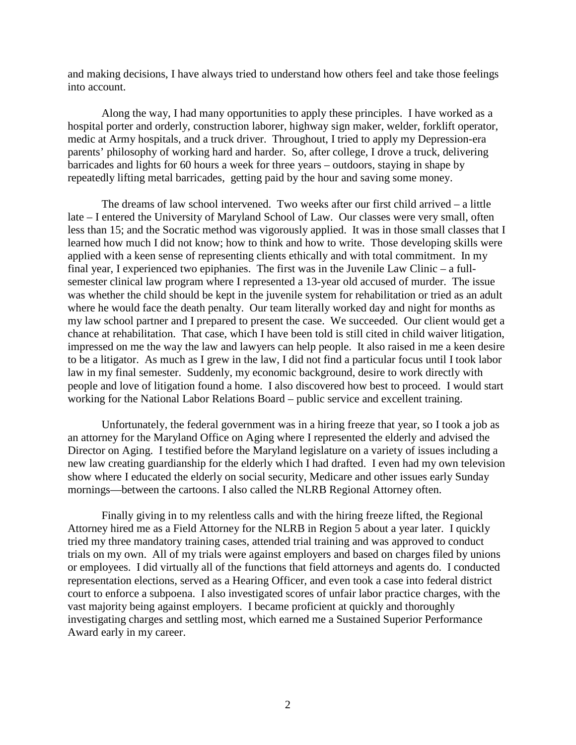and making decisions, I have always tried to understand how others feel and take those feelings into account.

Along the way, I had many opportunities to apply these principles. I have worked as a hospital porter and orderly, construction laborer, highway sign maker, welder, forklift operator, medic at Army hospitals, and a truck driver. Throughout, I tried to apply my Depression-era parents' philosophy of working hard and harder. So, after college, I drove a truck, delivering barricades and lights for 60 hours a week for three years – outdoors, staying in shape by repeatedly lifting metal barricades, getting paid by the hour and saving some money.

The dreams of law school intervened. Two weeks after our first child arrived – a little late – I entered the University of Maryland School of Law. Our classes were very small, often less than 15; and the Socratic method was vigorously applied. It was in those small classes that I learned how much I did not know; how to think and how to write. Those developing skills were applied with a keen sense of representing clients ethically and with total commitment. In my final year, I experienced two epiphanies. The first was in the Juvenile Law Clinic – a fullsemester clinical law program where I represented a 13-year old accused of murder. The issue was whether the child should be kept in the juvenile system for rehabilitation or tried as an adult where he would face the death penalty. Our team literally worked day and night for months as my law school partner and I prepared to present the case. We succeeded. Our client would get a chance at rehabilitation. That case, which I have been told is still cited in child waiver litigation, impressed on me the way the law and lawyers can help people. It also raised in me a keen desire to be a litigator. As much as I grew in the law, I did not find a particular focus until I took labor law in my final semester. Suddenly, my economic background, desire to work directly with people and love of litigation found a home. I also discovered how best to proceed. I would start working for the National Labor Relations Board – public service and excellent training.

Unfortunately, the federal government was in a hiring freeze that year, so I took a job as an attorney for the Maryland Office on Aging where I represented the elderly and advised the Director on Aging. I testified before the Maryland legislature on a variety of issues including a new law creating guardianship for the elderly which I had drafted. I even had my own television show where I educated the elderly on social security, Medicare and other issues early Sunday mornings—between the cartoons. I also called the NLRB Regional Attorney often.

Finally giving in to my relentless calls and with the hiring freeze lifted, the Regional Attorney hired me as a Field Attorney for the NLRB in Region 5 about a year later. I quickly tried my three mandatory training cases, attended trial training and was approved to conduct trials on my own. All of my trials were against employers and based on charges filed by unions or employees. I did virtually all of the functions that field attorneys and agents do. I conducted representation elections, served as a Hearing Officer, and even took a case into federal district court to enforce a subpoena. I also investigated scores of unfair labor practice charges, with the vast majority being against employers. I became proficient at quickly and thoroughly investigating charges and settling most, which earned me a Sustained Superior Performance Award early in my career.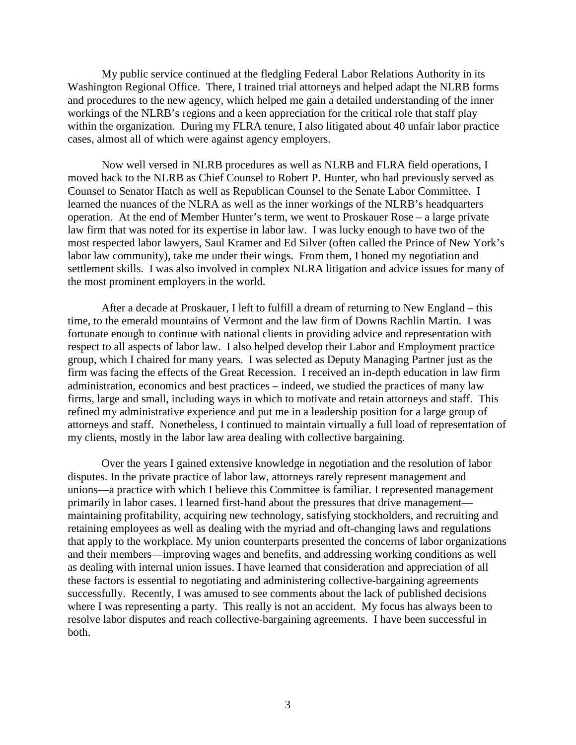My public service continued at the fledgling Federal Labor Relations Authority in its Washington Regional Office. There, I trained trial attorneys and helped adapt the NLRB forms and procedures to the new agency, which helped me gain a detailed understanding of the inner workings of the NLRB's regions and a keen appreciation for the critical role that staff play within the organization. During my FLRA tenure, I also litigated about 40 unfair labor practice cases, almost all of which were against agency employers.

Now well versed in NLRB procedures as well as NLRB and FLRA field operations, I moved back to the NLRB as Chief Counsel to Robert P. Hunter, who had previously served as Counsel to Senator Hatch as well as Republican Counsel to the Senate Labor Committee. I learned the nuances of the NLRA as well as the inner workings of the NLRB's headquarters operation. At the end of Member Hunter's term, we went to Proskauer Rose – a large private law firm that was noted for its expertise in labor law. I was lucky enough to have two of the most respected labor lawyers, Saul Kramer and Ed Silver (often called the Prince of New York's labor law community), take me under their wings. From them, I honed my negotiation and settlement skills. I was also involved in complex NLRA litigation and advice issues for many of the most prominent employers in the world.

After a decade at Proskauer, I left to fulfill a dream of returning to New England – this time, to the emerald mountains of Vermont and the law firm of Downs Rachlin Martin. I was fortunate enough to continue with national clients in providing advice and representation with respect to all aspects of labor law. I also helped develop their Labor and Employment practice group, which I chaired for many years. I was selected as Deputy Managing Partner just as the firm was facing the effects of the Great Recession. I received an in-depth education in law firm administration, economics and best practices – indeed, we studied the practices of many law firms, large and small, including ways in which to motivate and retain attorneys and staff. This refined my administrative experience and put me in a leadership position for a large group of attorneys and staff. Nonetheless, I continued to maintain virtually a full load of representation of my clients, mostly in the labor law area dealing with collective bargaining.

Over the years I gained extensive knowledge in negotiation and the resolution of labor disputes. In the private practice of labor law, attorneys rarely represent management and unions—a practice with which I believe this Committee is familiar. I represented management primarily in labor cases. I learned first-hand about the pressures that drive management maintaining profitability, acquiring new technology, satisfying stockholders, and recruiting and retaining employees as well as dealing with the myriad and oft-changing laws and regulations that apply to the workplace. My union counterparts presented the concerns of labor organizations and their members—improving wages and benefits, and addressing working conditions as well as dealing with internal union issues. I have learned that consideration and appreciation of all these factors is essential to negotiating and administering collective-bargaining agreements successfully. Recently, I was amused to see comments about the lack of published decisions where I was representing a party. This really is not an accident. My focus has always been to resolve labor disputes and reach collective-bargaining agreements. I have been successful in both.